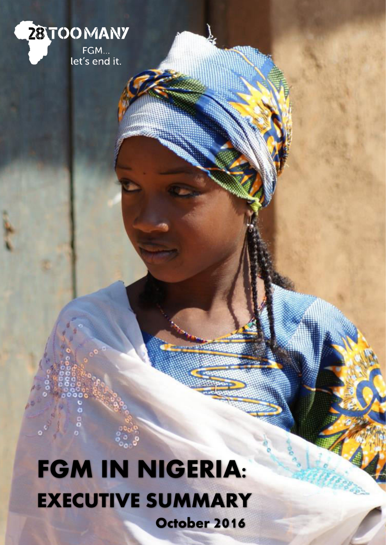

# **FGM IN NIGERIA: EXECUTIVE SUMMARY October 2016**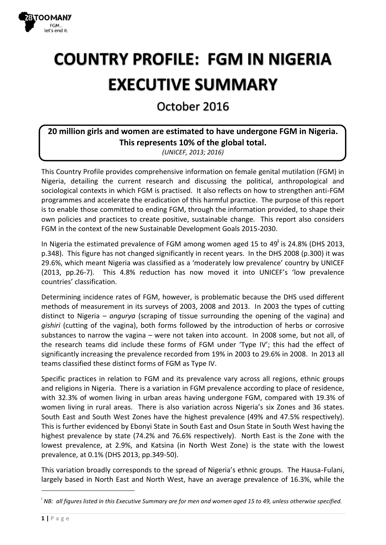

## **COUNTRY PROFILE: FGM IN NIGERIA EXECUTIVE SUMMARY**

October 2016

### 20 million girls and women are estimated to have undergone FGM in Nigeria. This represents 10% of the global total.

(UNICEF, 2013; 2016)

This Country Profile provides comprehensive information on female genital mutilation (FGM) in Nigeria, detailing the current research and discussing the political, anthropological and sociological contexts in which FGM is practised. It also reflects on how to strengthen anti-FGM programmes and accelerate the eradication of this harmful practice. The purpose of this report is to enable those committed to ending FGM, through the information provided, to shape their own policies and practices to create positive, sustainable change. This report also considers FGM in the context of the new Sustainable Development Goals 2015-2030.

In Nigeria the estimated prevalence of FGM among women aged 15 to 49<sup>i</sup> is 24.8% (DHS 2013, p.348). This figure has not changed significantly in recent years. In the DHS 2008 (p.300) it was 29.6%, which meant Nigeria was classified as a 'moderately low prevalence' country by UNICEF (2013, pp.26-7). This 4.8% reduction has now moved it into UNICEF's 'low prevalence countries' classification.

Determining incidence rates of FGM, however, is problematic because the DHS used different methods of measurement in its surveys of 2003, 2008 and 2013. In 2003 the types of cutting distinct to Nigeria – angurya (scraping of tissue surrounding the opening of the vagina) and gishiri (cutting of the vagina), both forms followed by the introduction of herbs or corrosive substances to narrow the vagina – were not taken into account. In 2008 some, but not all, of the research teams did include these forms of FGM under 'Type IV': this had the effect of significantly increasing the prevalence recorded from 19% in 2003 to 29.6% in 2008. In 2013 all teams classified these distinct forms of FGM as Type IV.

Specific practices in relation to FGM and its prevalence vary across all regions, ethnic groups and religions in Nigeria. There is a variation in FGM prevalence according to place of residence, with 32.3% of women living in urban areas having undergone FGM, compared with 19.3% of women living in rural areas. There is also variation across Nigeria's six Zones and 36 states. South East and South West Zones have the highest prevalence (49% and 47.5% respectively). This is further evidenced by Ebonyi State in South East and Osun State in South West having the highest prevalence by state (74.2% and 76.6% respectively). North East is the Zone with the lowest prevalence, at 2.9%, and Katsina (in North West Zone) is the state with the lowest prevalence, at 0.1% (DHS 2013, pp.349-50).

This variation broadly corresponds to the spread of Nigeria's ethnic groups. The Hausa-Fulani, largely based in North East and North West, have an average prevalence of 16.3%, while the

 $^{\text{!}}$  NB: all figures listed in this Executive Summary are for men and women aged 15 to 49, unless otherwise specified.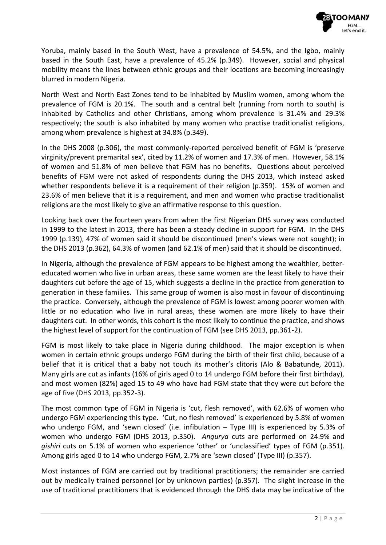

Yoruba, mainly based in the South West, have a prevalence of 54.5%, and the Igbo, mainly based in the South East, have a prevalence of 45.2% (p.349). However, social and physical mobility means the lines between ethnic groups and their locations are becoming increasingly blurred in modern Nigeria.

North West and North East Zones tend to be inhabited by Muslim women, among whom the prevalence of FGM is 20.1%. The south and a central belt (running from north to south) is inhabited by Catholics and other Christians, among whom prevalence is 31.4% and 29.3% respectively; the south is also inhabited by many women who practise traditionalist religions, among whom prevalence is highest at 34.8% (p.349).

In the DHS 2008 (p.306), the most commonly-reported perceived benefit of FGM is 'preserve virginity/prevent premarital sex', cited by 11.2% of women and 17.3% of men. However, 58.1% of women and 51.8% of men believe that FGM has no benefits. Questions about perceived benefits of FGM were not asked of respondents during the DHS 2013, which instead asked whether respondents believe it is a requirement of their religion (p.359). 15% of women and 23.6% of men believe that it is a requirement, and men and women who practise traditionalist religions are the most likely to give an affirmative response to this question.

Looking back over the fourteen years from when the first Nigerian DHS survey was conducted in 1999 to the latest in 2013, there has been a steady decline in support for FGM. In the DHS 1999 (p.139), 47% of women said it should be discontinued (men's views were not sought); in the DHS 2013 (p.362), 64.3% of women (and 62.1% of men) said that it should be discontinued.

In Nigeria, although the prevalence of FGM appears to be highest among the wealthier, bettereducated women who live in urban areas, these same women are the least likely to have their daughters cut before the age of 15, which suggests a decline in the practice from generation to generation in these families. This same group of women is also most in favour of discontinuing the practice. Conversely, although the prevalence of FGM is lowest among poorer women with little or no education who live in rural areas, these women are more likely to have their daughters cut. In other words, this cohort is the most likely to continue the practice, and shows the highest level of support for the continuation of FGM (see DHS 2013, pp.361-2).

FGM is most likely to take place in Nigeria during childhood. The major exception is when women in certain ethnic groups undergo FGM during the birth of their first child, because of a belief that it is critical that a baby not touch its mother's clitoris (Alo & Babatunde, 2011). Many girls are cut as infants (16% of girls aged 0 to 14 undergo FGM before their first birthday), and most women (82%) aged 15 to 49 who have had FGM state that they were cut before the age of five (DHS 2013, pp.352-3).

The most common type of FGM in Nigeria is 'cut, flesh removed', with 62.6% of women who undergo FGM experiencing this type. 'Cut, no flesh removed' is experienced by 5.8% of women who undergo FGM, and 'sewn closed' (i.e. infibulation – Type III) is experienced by 5.3% of women who undergo FGM (DHS 2013, p.350). *Angurya* cuts are performed on 24.9% and *gishiri* cuts on 5.1% of women who experience 'other' or 'unclassified' types of FGM (p.351). Among girls aged 0 to 14 who undergo FGM, 2.7% are 'sewn closed' (Type III) (p.357).

Most instances of FGM are carried out by traditional practitioners; the remainder are carried out by medically trained personnel (or by unknown parties) (p.357). The slight increase in the use of traditional practitioners that is evidenced through the DHS data may be indicative of the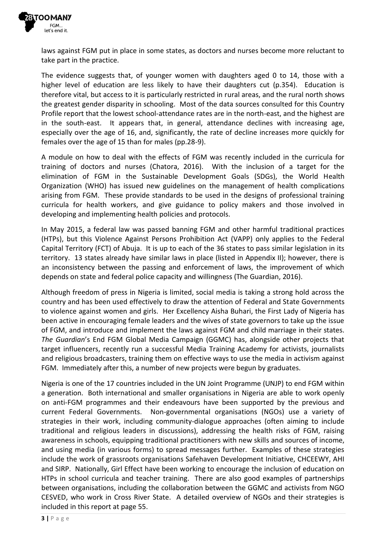

laws against FGM put in place in some states, as doctors and nurses become more reluctant to take part in the practice.

The evidence suggests that, of younger women with daughters aged 0 to 14, those with a higher level of education are less likely to have their daughters cut (p.354). Education is therefore vital, but access to it is particularly restricted in rural areas, and the rural north shows the greatest gender disparity in schooling. Most of the data sources consulted for this Country Profile report that the lowest school-attendance rates are in the north-east, and the highest are in the south-east. It appears that, in general, attendance declines with increasing age, especially over the age of 16, and, significantly, the rate of decline increases more quickly for females over the age of 15 than for males (pp.28-9).

A module on how to deal with the effects of FGM was recently included in the curricula for training of doctors and nurses (Chatora, 2016). With the inclusion of a target for the elimination of FGM in the Sustainable Development Goals (SDGs), the World Health Organization (WHO) has issued new guidelines on the management of health complications arising from FGM. These provide standards to be used in the designs of professional training curricula for health workers, and give guidance to policy makers and those involved in developing and implementing health policies and protocols.

In May 2015, a federal law was passed banning FGM and other harmful traditional practices (HTPs), but this Violence Against Persons Prohibition Act (VAPP) only applies to the Federal Capital Territory (FCT) of Abuja. It is up to each of the 36 states to pass similar legislation in its territory. 13 states already have similar laws in place (listed in Appendix II); however, there is an inconsistency between the passing and enforcement of laws, the improvement of which depends on state and federal police capacity and willingness (The Guardian, 2016).

Although freedom of press in Nigeria is limited, social media is taking a strong hold across the country and has been used effectively to draw the attention of Federal and State Governments to violence against women and girls. Her Excellency Aisha Buhari, the First Lady of Nigeria has been active in encouraging female leaders and the wives of state governors to take up the issue of FGM, and introduce and implement the laws against FGM and child marriage in their states. *The Guardian's* End FGM Global Media Campaign (GGMC) has, alongside other projects that target influencers, recently run a successful Media Training Academy for activists, journalists and religious broadcasters, training them on effective ways to use the media in activism against FGM. Immediately after this, a number of new projects were begun by graduates.

Nigeria is one of the 17 countries included in the UN Joint Programme (UNJP) to end FGM within a generation. Both international and smaller organisations in Nigeria are able to work openly on anti-FGM programmes and their endeavours have been supported by the previous and current Federal Governments. Non-governmental organisations (NGOs) use a variety of strategies in their work, including community-dialogue approaches (often aiming to include traditional and religious leaders in discussions), addressing the health risks of FGM, raising awareness in schools, equipping traditional practitioners with new skills and sources of income, and using media (in various forms) to spread messages further. Examples of these strategies include the work of grassroots organisations Safehaven Development Initiative, CHCEEWY, AHI and SIRP. Nationally, Girl Effect have been working to encourage the inclusion of education on HTPs in school curricula and teacher training. There are also good examples of partnerships between organisations, including the collaboration between the GGMC and activists from NGO CESVED, who work in Cross River State. A detailed overview of NGOs and their strategies is included in this report at page 55.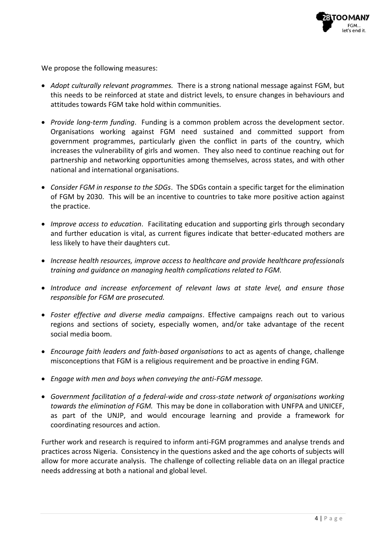

We propose the following measures:

- *Adopt culturally relevant programmes.* There is a strong national message against FGM, but this needs to be reinforced at state and district levels, to ensure changes in behaviours and attitudes towards FGM take hold within communities.
- *Provide long-term funding*. Funding is a common problem across the development sector. Organisations working against FGM need sustained and committed support from government programmes, particularly given the conflict in parts of the country, which increases the vulnerability of girls and women. They also need to continue reaching out for partnership and networking opportunities among themselves, across states, and with other national and international organisations.
- *Consider FGM in response to the SDGs*. The SDGs contain a specific target for the elimination of FGM by 2030. This will be an incentive to countries to take more positive action against the practice.
- *Improve access to education*. Facilitating education and supporting girls through secondary and further education is vital, as current figures indicate that better-educated mothers are less likely to have their daughters cut.
- *Increase health resources, improve access to healthcare and provide healthcare professionals training and guidance on managing health complications related to FGM.*
- *Introduce and increase enforcement of relevant laws at state level, and ensure those responsible for FGM are prosecuted.*
- *Foster effective and diverse media campaigns*. Effective campaigns reach out to various regions and sections of society, especially women, and/or take advantage of the recent social media boom.
- *Encourage faith leaders and faith-based organisations* to act as agents of change, challenge misconceptions that FGM is a religious requirement and be proactive in ending FGM.
- *Engage with men and boys when conveying the anti-FGM message.*
- *Government facilitation of a federal-wide and cross-state network of organisations working towards the elimination of FGM.* This may be done in collaboration with UNFPA and UNICEF, as part of the UNJP, and would encourage learning and provide a framework for coordinating resources and action.

Further work and research is required to inform anti-FGM programmes and analyse trends and practices across Nigeria. Consistency in the questions asked and the age cohorts of subjects will allow for more accurate analysis. The challenge of collecting reliable data on an illegal practice needs addressing at both a national and global level.